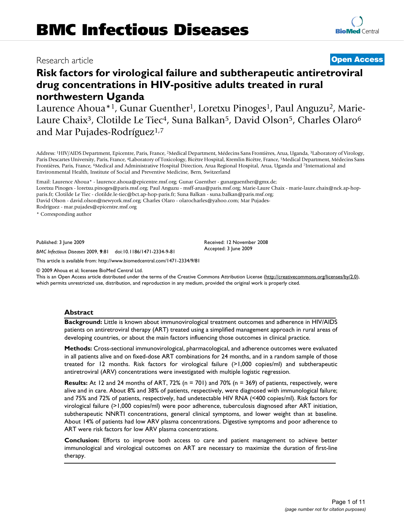# Research article **[Open Access](http://www.biomedcentral.com/info/about/charter/)**

**Risk factors for virological failure and subtherapeutic antiretroviral drug concentrations in HIV-positive adults treated in rural northwestern Uganda**

Laurence Ahoua<sup>\*1</sup>, Gunar Guenther<sup>1</sup>, Loretxu Pinoges<sup>1</sup>, Paul Anguzu<sup>2</sup>, Marie-Laure Chaix<sup>3</sup>, Clotilde Le Tiec<sup>4</sup>, Suna Balkan<sup>5</sup>, David Olson<sup>5</sup>, Charles Olaro<sup>6</sup> and Mar Pujades-Rodríguez<sup>1,7</sup>

Address: 1HIV/AIDS Department, Epicentre, Paris, France, 2Medical Department, Médecins Sans Frontières, Arua, Uganda, 3Laboratory of Virology, Paris Descartes University, Paris, France, 4Laboratory of Toxicology, Bicêtre Hospital, Kremlin Bicêtre, France, 5Medical Department, Médecins Sans Frontières, Paris, France, <sup>6</sup>Medical and Administrative Hospital Direction, Arua Regional Hospital, Arua, Uganda and 7International and Environmental Health, Institute of Social and Preventive Medicine, Bern, Switzerland

Email: Laurence Ahoua\* - laurence.ahoua@epicentre.msf.org; Gunar Guenther - gunarguenther@gmx.de;

Loretxu Pinoges - loretxu.pinoges@paris.msf.org; Paul Anguzu - msff-arua@paris.msf.org; Marie-Laure Chaix - marie-laure.chaix@nck.ap-hopparis.fr; Clotilde Le Tiec - clotilde.le-tiec@bct.ap-hop-paris.fr; Suna Balkan - suna.balkan@paris.msf.org;

David Olson - david.olson@newyork.msf.org; Charles Olaro - olarocharles@yahoo.com; Mar Pujades-Rodríguez - mar.pujades@epicentre.msf.org

\* Corresponding author

Published: 3 June 2009

*BMC Infectious Diseases* 2009, **9**:81 doi:10.1186/1471-2334-9-81

[This article is available from: http://www.biomedcentral.com/1471-2334/9/81](http://www.biomedcentral.com/1471-2334/9/81)

© 2009 Ahoua et al; licensee BioMed Central Ltd.

This is an Open Access article distributed under the terms of the Creative Commons Attribution License [\(http://creativecommons.org/licenses/by/2.0\)](http://creativecommons.org/licenses/by/2.0), which permits unrestricted use, distribution, and reproduction in any medium, provided the original work is properly cited.

Received: 12 November 2008 Accepted: 3 June 2009

#### **Abstract**

**Background:** Little is known about immunovirological treatment outcomes and adherence in HIV/AIDS patients on antiretroviral therapy (ART) treated using a simplified management approach in rural areas of developing countries, or about the main factors influencing those outcomes in clinical practice.

**Methods:** Cross-sectional immunovirological, pharmacological, and adherence outcomes were evaluated in all patients alive and on fixed-dose ART combinations for 24 months, and in a random sample of those treated for 12 months. Risk factors for virological failure (>1,000 copies/ml) and subtherapeutic antiretroviral (ARV) concentrations were investigated with multiple logistic regression.

**Results:** At 12 and 24 months of ART, 72% (n = 701) and 70% (n = 369) of patients, respectively, were alive and in care. About 8% and 38% of patients, respectively, were diagnosed with immunological failure; and 75% and 72% of patients, respectively, had undetectable HIV RNA (<400 copies/ml). Risk factors for virological failure (>1,000 copies/ml) were poor adherence, tuberculosis diagnosed after ART initiation, subtherapeutic NNRTI concentrations, general clinical symptoms, and lower weight than at baseline. About 14% of patients had low ARV plasma concentrations. Digestive symptoms and poor adherence to ART were risk factors for low ARV plasma concentrations.

**Conclusion:** Efforts to improve both access to care and patient management to achieve better immunological and virological outcomes on ART are necessary to maximize the duration of first-line therapy.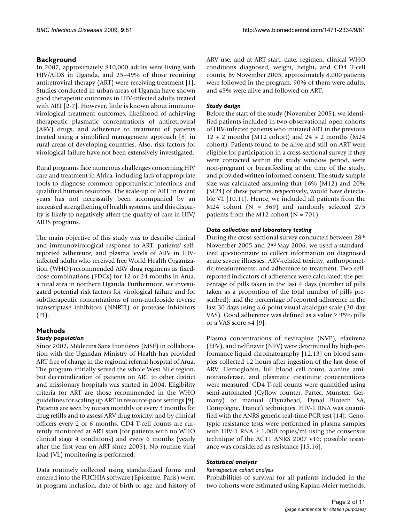#### **Background**

In 2007, approximately 810,000 adults were living with HIV/AIDS in Uganda, and 25–49% of those requiring antiretroviral therapy (ART) were receiving treatment [1]. Studies conducted in urban areas of Uganda have shown good therapeutic outcomes in HIV-infected adults treated with ART [2-7]. However, little is known about immunovirological treatment outcomes, likelihood of achieving therapeutic plasmatic concentrations of antiretroviral (ARV) drugs, and adherence to treatment of patients treated using a simplified management approach [8] in rural areas of developing countries. Also, risk factors for virological failure have not been extensively investigated.

Rural programs face numerous challenges concerning HIV care and treatment in Africa, including lack of appropriate tools to diagnose common opportunistic infections and qualified human resources. The scale-up of ART in recent years has not necessarily been accompanied by an increased strengthening of health systems, and this disparity is likely to negatively affect the quality of care in HIV/ AIDS programs.

The main objective of this study was to describe clinical and immunovirological response to ART, patients' selfreported adherence, and plasma levels of ARV in HIVinfected adults who received free World Health Organization (WHO)-recommended ARV drug regimens as fixeddose combinations (FDCs) for 12 or 24 months in Arua, a rural area in northern Uganda. Furthermore, we investigated potential risk factors for virological failure and for subtherapeutic concentrations of non-nucleoside reverse transcriptase inhibitors (NNRTI) or protease inhibitors (PI).

## **Methods**

#### *Study population*

Since 2002, Médecins Sans Frontières (MSF) in collaboration with the Ugandan Ministry of Health has provided ART free of charge in the regional referral hospital of Arua. The program initially served the whole West Nile region, but decentralization of patients on ART to other district and missionary hospitals was started in 2004. Eligibility criteria for ART are those recommended in the WHO guidelines for scaling up ART in resource-poor settings [9]. Patients are seen by nurses monthly or every 3 months for drug refills and to assess ARV drug toxicity; and by clinical officers every 2 or 6 months. CD4 T-cell counts are currently monitored at ART start (for patients with no WHO clinical stage 4 conditions) and every 6 months (yearly after the first year on ART since 2005). No routine viral load (VL) monitoring is performed.

Data routinely collected using standardized forms and entered into the FUCHIA software (Epicentre, Paris) were, at program inclusion, date of birth or age, and history of ARV use; and at ART start, date, regimen, clinical WHO conditions diagnosed, weight, height, and CD4 T-cell counts. By November 2005, approximately 8,000 patients were followed in the program, 90% of them were adults, and 45% were alive and followed on ART.

#### *Study design*

Before the start of the study (November 2005), we identified patients included in two observational open cohorts of HIV-infected patients who initiated ART in the previous  $12 \pm 2$  months (M12 cohort) and  $24 \pm 2$  months (M24 cohort). Patients found to be alive and still on ART were eligible for participation in a cross-sectional survey if they were contacted within the study window period, were non-pregnant or breastfeeding at the time of the study, and provided written informed consent. The study sample size was calculated assuming that 16% (M12) and 20% (M24) of these patients, respectively, would have detectable VL [10,11]. Hence, we included all patients from the M24 cohort ( $N = 369$ ) and randomly selected 275 patients from the M12 cohort ( $N = 701$ ).

#### *Data collection and laboratory testing*

During the cross-sectional survey conducted between 28th November 2005 and 2nd May 2006, we used a standardized questionnaire to collect information on diagnosed acute severe illnesses, ARV-related toxicity, anthropometric measurements, and adherence to treatment. Two selfreported indicators of adherence were calculated: the percentage of pills taken in the last 4 days (number of pills taken as a proportion of the total number of pills prescribed); and the percentage of reported adherence in the last 30 days using a 6-point visual analogue scale (30-day VAS). Good adherence was defined as a value ≥ 95% pills or a VAS score >4 [9].

Plasma concentrations of nevirapine (NVP), efavirenz (EFV), and nelfinavir (NFV) were determined by high-performance liquid chromatography [12,13] on blood samples collected 12 hours after ingestion of the last dose of ARV. Hemoglobin, full blood cell count, alanine aminotransferase, and plasmatic creatinine concentrations were measured. CD4 T-cell counts were quantified using semi-automated (Cyflow counter, Partec, Münster, Germany) or manual (Dynabead, Dynal Biotech SA, Compiègne, France) techniques. HIV-1 RNA was quantified with the ANRS generic real-time PCR test [14]. Genotypic resistance tests were performed in plasma samples with HIV-1 RNA  $\geq 1,000$  copies/ml using the consensus technique of the AC11 ANRS 2007 v16; possible resistance was considered as resistance [15,16].

#### *Statistical analysis*

#### *Retrospective cohort analysis*

Probabilities of survival for all patients included in the two cohorts were estimated using Kaplan-Meier methods.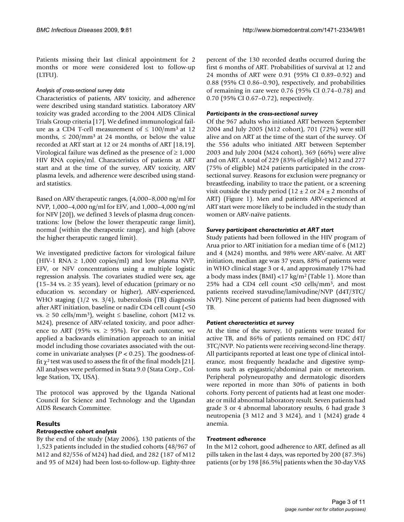Patients missing their last clinical appointment for 2 months or more were considered lost to follow-up (LTFU).

#### *Analysis of cross-sectional survey data*

Characteristics of patients, ARV toxicity, and adherence were described using standard statistics. Laboratory ARV toxicity was graded according to the 2004 AIDS Clinical Trials Group criteria [17]. We defined immunological failure as a CD4 T-cell measurement of  $\leq 100/\text{mm}^3$  at 12 months,  $\leq 200/\text{mm}^3$  at 24 months, or below the value recorded at ART start at 12 or 24 months of ART [18,19]. Virological failure was defined as the presence of  $\geq 1,000$ HIV RNA copies/ml. Characteristics of patients at ART start and at the time of the survey, ARV toxicity, ARV plasma levels, and adherence were described using standard statistics.

Based on ARV therapeutic ranges, (4,000–8,000 ng/ml for NVP, 1,000–4,000 ng/ml for EFV, and 1,000–4,000 ng/ml for NFV [20]), we defined 3 levels of plasma drug concentrations: low (below the lower therapeutic range limit), normal (within the therapeutic range), and high (above the higher therapeutic ranged limit).

We investigated predictive factors for virological failure (HIV-1 RNA  $\geq$  1,000 copies/ml) and low plasma NVP, EFV, or NFV concentrations using a multiple logistic regression analysis. The covariates studied were sex, age (15–34 vs.  $\geq$  35 years), level of education (primary or no education vs. secondary or higher), ARV-experienced, WHO staging (1/2 vs. 3/4), tuberculosis (TB) diagnosis after ART initiation, baseline or nadir CD4 cell count (<50 vs. ≥ 50 cells/mm<sup>3</sup>), weight ≤ baseline, cohort (M12 vs. M24), presence of ARV-related toxicity, and poor adherence to ART (95% vs.  $\geq$  95%). For each outcome, we applied a backwards elimination approach to an initial model including those covariates associated with the outcome in univariate analyses (*P* < 0.25). The goodness-offit  $χ²$  test was used to assess the fit of the final models [21]. All analyses were performed in Stata 9.0 (Stata Corp., College Station, TX, USA).

The protocol was approved by the Uganda National Council for Science and Technology and the Ugandan AIDS Research Committee.

#### **Results**

#### *Retrospective cohort analysis*

By the end of the study (May 2006), 130 patients of the 1,523 patients included in the studied cohorts (48/967 of M12 and 82/556 of M24) had died, and 282 (187 of M12 and 95 of M24) had been lost-to-follow-up. Eighty-three percent of the 130 recorded deaths occurred during the first 6 months of ART. Probabilities of survival at 12 and 24 months of ART were 0.91 (95% CI 0.89–0.92) and 0.88 (95% CI 0.86–0.90), respectively, and probabilities of remaining in care were 0.76 (95% CI 0.74–0.78) and 0.70 (95% CI 0.67–0.72), respectively.

#### *Participants in the cross-sectional survey*

Of the 967 adults who initiated ART between September 2004 and July 2005 (M12 cohort), 701 (72%) were still alive and on ART at the time of the start of the survey. Of the 556 adults who initiated ART between September 2003 and July 2004 (M24 cohort), 369 (66%) were alive and on ART. A total of 229 (83% of eligible) M12 and 277 (75% of eligible) M24 patients participated in the crosssectional survey. Reasons for exclusion were pregnancy or breastfeeding, inability to trace the patient, or a screening visit outside the study period  $(12 \pm 2 \text{ or } 24 \pm 2 \text{ months of})$ ART) (Figure 1). Men and patients ARV-experienced at ART start were more likely to be included in the study than women or ARV-naïve patients.

#### *Survey participant characteristics at ART start*

Study patients had been followed in the HIV program of Arua prior to ART initiation for a median time of 6 (M12) and 4 (M24) months, and 98% were ARV-naïve. At ART initiation, median age was 37 years, 88% of patients were in WHO clinical stage 3 or 4, and approximately 17% had a body mass index (BMI) <17 kg/m2 (Table 1). More than 25% had a CD4 cell count <50 cells/mm3, and most patients received stavudine/lamivudine/NVP (d4T/3TC/ NVP). Nine percent of patients had been diagnosed with TB.

#### *Patient characteristics at survey*

At the time of the survey, 10 patients were treated for active TB, and 86% of patients remained on FDC d4T/ 3TC/NVP. No patients were receiving second-line therapy. All participants reported at least one type of clinical intolerance, most frequently headache and digestive symptoms such as epigastric/abdominal pain or meteorism. Peripheral polyneuropathy and dermatologic disorders were reported in more than 30% of patients in both cohorts. Forty percent of patients had at least one moderate or mild abnormal laboratory result. Seven patients had grade 3 or 4 abnormal laboratory results, 6 had grade 3 neutropenia (3 M12 and 3 M24), and 1 (M24) grade 4 anemia.

#### *Treatment adherence*

In the M12 cohort, good adherence to ART, defined as all pills taken in the last 4 days, was reported by 200 (87.3%) patients (or by 198 [86.5%] patients when the 30-day VAS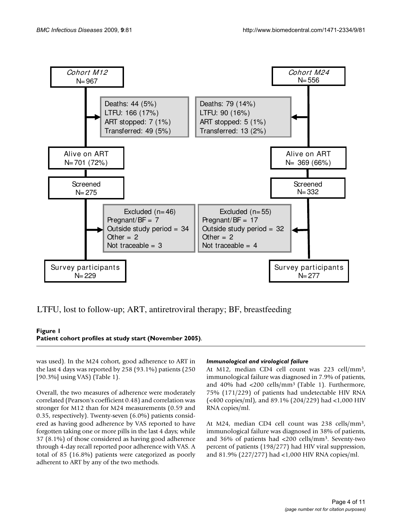

LTFU, lost to follow-up; ART, antiretroviral therapy; BF, breastfeeding

#### **Figure 1 Patient cohort profiles at study start (November 2005)**.

was used). In the M24 cohort, good adherence to ART in the last 4 days was reported by 258 (93.1%) patients (250 [90.3%] using VAS) (Table 1).

Overall, the two measures of adherence were moderately correlated (Pearson's coefficient 0.48) and correlation was stronger for M12 than for M24 measurements (0.59 and 0.35, respectively). Twenty-seven (6.0%) patients considered as having good adherence by VAS reported to have forgotten taking one or more pills in the last 4 days; while 37 (8.1%) of those considered as having good adherence through 4-day recall reported poor adherence with VAS. A total of 85 (16.8%) patients were categorized as poorly adherent to ART by any of the two methods.

## *Immunological and virological failure*

At M12, median CD4 cell count was 223 cell/mm3, immunological failure was diagnosed in 7.9% of patients, and 40% had <200 cells/mm3 (Table 1). Furthermore, 75% (171/229) of patients had undetectable HIV RNA (<400 copies/ml), and 89.1% (204/229) had <1,000 HIV RNA copies/ml.

At M24, median CD4 cell count was 238 cells/mm3, immunological failure was diagnosed in 38% of patients, and 36% of patients had <200 cells/mm3. Seventy-two percent of patients (198/277) had HIV viral suppression, and 81.9% (227/277) had <1,000 HIV RNA copies/ml.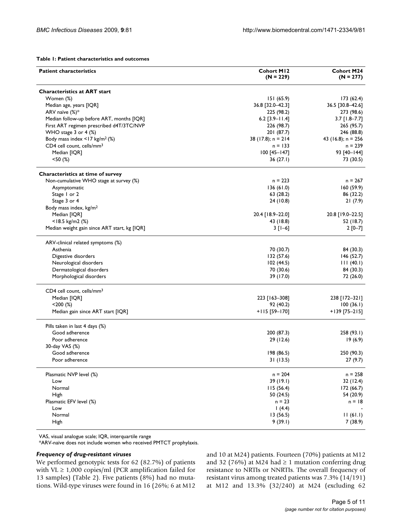**Table 1: Patient characteristics and outcomes**

| <b>Patient characteristics</b>               | <b>Cohort M12</b><br>$(N = 229)$ | <b>Cohort M24</b><br>$(N = 277)$ |
|----------------------------------------------|----------------------------------|----------------------------------|
| <b>Characteristics at ART start</b>          |                                  |                                  |
| Women (%)                                    | 151(65.9)                        | 173(62.4)                        |
| Median age, years [IQR]                      | 36.8 [32.0-42.3]                 | 36.5 [30.8-42.6]                 |
| ARV naïve (%)*                               | 225 (98.2)                       | 273 (98.6)                       |
| Median follow-up before ART, months [IQR]    | $6.2$ [3.9-11.4]                 | $3.7$ [1.8-7.7]                  |
| First ART regimen prescribed d4T/3TC/NVP     | 226 (98.7)                       | 265 (95.7)                       |
| WHO stage 3 or 4 (%)                         | 201 (87.7)                       | 246 (88.8)                       |
| Body mass index <17 $kg/m^2$ (%)             | 38 (17.8); $n = 214$             | 43 (16.8); $n = 256$             |
| CD4 cell count, cells/mm <sup>3</sup>        | $n = 133$                        | $n = 239$                        |
| Median [IQR]                                 | $100$ [45-147]                   | 93 [40-144]                      |
| $< 50$ (%)                                   | 36 (27.1)                        | 73 (30.5)                        |
| Characteristics at time of survey            |                                  |                                  |
| Non-cumulative WHO stage at survey (%)       | $n = 223$                        | $n = 267$                        |
| Asymptomatic                                 | 136(61.0)                        | 160 (59.9)                       |
| Stage 1 or 2                                 | 63 (28.2)                        | 86 (32.2)                        |
| Stage 3 or 4                                 | 24 (10.8)                        | 21(7.9)                          |
| Body mass index, kg/m <sup>2</sup>           |                                  |                                  |
| Median [IQR]                                 | 20.4 [18.9-22.0]                 | 20.8 [19.0-22.5]                 |
| <18.5 kg/m2 (%)                              | 43 (18.8)                        | 52 (18.7)                        |
| Median weight gain since ART start, kg [IQR] | $3$ [1-6]                        | $2[0-7]$                         |
| ARV-clinical related symptoms (%)            |                                  |                                  |
| Asthenia                                     | 70 (30.7)                        | 84 (30.3)                        |
| Digestive disorders                          | 132 (57.6)                       | 146 (52.7)                       |
| Neurological disorders                       | 102(44.5)                        | III(40.1)                        |
| Dermatological disorders                     | 70 (30.6)                        | 84 (30.3)                        |
| Morphological disorders                      | 39 (17.0)                        | 72 (26.0)                        |
| CD4 cell count, cells/mm <sup>3</sup>        |                                  |                                  |
| Median [IQR]                                 | 223 [163-308]                    | 238 [172-321]                    |
| $<$ 200 (%)                                  | 92 (40.2)                        | 100(36.1)                        |
| Median gain since ART start [IQR]            | +115 [59-170]                    | $+139$ [75-215]                  |
| Pills taken in last 4 days (%)               |                                  |                                  |
| Good adherence                               | 200 (87.3)                       | 258(93.1)                        |
| Poor adherence                               | 29(12.6)                         | 19(6.9)                          |
| 30-day VAS (%)                               |                                  |                                  |
| Good adherence                               | 198 (86.5)                       | 250 (90.3)                       |
| Poor adherence                               | 31(13.5)                         | 27(9.7)                          |
| Plasmatic NVP level (%)                      | $n = 204$                        | $n = 258$                        |
| Low                                          | 39 (19.1)                        | 32(12.4)                         |
| Normal                                       | 115(56.4)                        | 172 (66.7)                       |
| High                                         | 50 (24.5)                        | 54 (20.9)                        |
| Plasmatic EFV level (%)                      | $n = 23$                         | $n = 18$                         |
| Low                                          | 1(4.4)                           |                                  |
| Normal                                       | 13(56.5)                         | 11(61.1)                         |
| High                                         | 9(39.1)                          | 7(38.9)                          |

VAS, visual analogue scale; IQR, interquartile range

\*ARV-naïve does not include women who received PMTCT prophylaxis.

#### *Frequency of drug-resistant viruses*

We performed genotypic tests for 62 (82.7%) of patients with VL  $\geq$  1,000 copies/ml (PCR amplification failed for 13 samples) (Table 2). Five patients (8%) had no mutations. Wild-type viruses were found in 16 (26%; 6 at M12 and 10 at M24) patients. Fourteen (70%) patients at M12 and 32 (76%) at M24 had  $\geq$  1 mutation conferring drug resistance to NRTIs or NNRTIs. The overall frequency of resistant virus among treated patients was 7.3% (14/191) at M12 and 13.3% (32/240) at M24 (excluding 62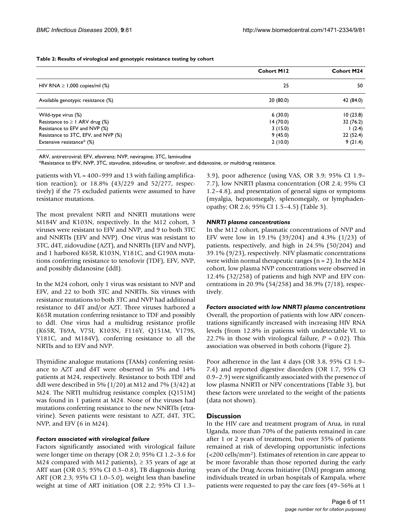| Table 2: Results of virological and genotypic resistance testing by cohort |  |  |
|----------------------------------------------------------------------------|--|--|
|----------------------------------------------------------------------------|--|--|

|                                     | <b>Cohort M12</b> | <b>Cohort M24</b> |
|-------------------------------------|-------------------|-------------------|
| HIV RNA $\geq$ 1,000 copies/ml (%)  | 25                | 50                |
| Available genotypic resistance (%)  | 20(80.0)          | 42 (84.0)         |
| Wild-type virus (%)                 | 6(30.0)           | 10(23.8)          |
| Resistance to $\geq$ 1 ARV drug (%) | 14(70.0)          | 32 (76.2)         |
| Resistance to EFV and NVP (%)       | 3(15.0)           | (2.4)             |
| Resistance to 3TC, EFV, and NVP (%) | 9(45.0)           | 22(52.4)          |
| Extensive resistance* (%)           | 2(10.0)           | 9(21.4)           |

ARV, antiretroviral; EFV, efavirenz; NVP, nevirapine; 3TC, lamivudine

\*Resistance to EFV, NVP, 3TC, stavudine, zidovudine, or tenofovir, and didanosine, or multidrug resistance.

patients with VL = 400–999 and 13 with failing amplification reaction); or 18.8% (43/229 and 52/277, respectively) if the 75 excluded patients were assumed to have resistance mutations.

The most prevalent NRTI and NNRTI mutations were M184V and K103N, respectively. In the M12 cohort, 3 viruses were resistant to EFV and NVP, and 9 to both 3TC and NNRTIs (EFV and NVP). One virus was resistant to 3TC, d4T, zidovudine (AZT), and NNRTIs (EFV and NVP), and 1 harbored K65R, K103N, Y181C, and G190A mutations conferring resistance to tenofovir (TDF), EFV, NVP, and possibly didanosine (ddI).

In the M24 cohort, only 1 virus was resistant to NVP and EFV, and 22 to both 3TC and NNRTIs. Six viruses with resistance mutations to both 3TC and NVP had additional resistance to d4T and/or AZT. Three viruses harbored a K65R mutation conferring resistance to TDF and possibly to ddI. One virus had a multidrug resistance profile (K65R, T69A, V75I, K103N, F116Y, Q151M, V179S, Y181C, and M184V), conferring resistance to all the NRTIs and to EFV and NVP.

Thymidine analogue mutations (TAMs) conferring resistance to AZT and d4T were observed in 5% and 14% patients at M24, respectively. Resistance to both TDF and ddI were described in 5% (1/20) at M12 and 7% (3/42) at M24. The NRTI multidrug resistance complex (Q151M) was found in 1 patient at M24. None of the viruses had mutations conferring resistance to the new NNRTIs (etravirine). Seven patients were resistant to AZT, d4T, 3TC, NVP, and EFV (6 in M24).

#### *Factors associated with virological failure*

Factors significantly associated with virological failure were longer time on therapy (OR 2.0; 95% CI 1.2–3.6 for M24 compared with M12 patients),  $\geq$  35 years of age at ART start (OR 0.5; 95% CI 0.3–0.8), TB diagnosis during ART (OR 2.3; 95% CI 1.0–5.0), weight less than baseline weight at time of ART initiation (OR 2.2; 95% CI 1.3–

3.9), poor adherence (using VAS, OR 3.9; 95% CI 1.9– 7.7), low NNRTI plasma concentration (OR 2.4; 95% CI 1.2–4.8), and presentation of general signs or symptoms (myalgia, hepatomegaly, splenomegaly, or lymphadenopathy; OR 2.6; 95% CI 1.5–4.5) (Table 3).

#### *NNRTI plasma concentrations*

In the M12 cohort, plasmatic concentrations of NVP and EFV were low in 19.1% (39/204) and 4.3% (1/23) of patients, respectively, and high in 24.5% (50/204) and 39.1% (9/23), respectively. NFV plasmatic concentrations were within normal therapeutic ranges ( $n = 2$ ). In the M24 cohort, low plasma NVP concentrations were observed in 12.4% (32/258) of patients and high NVP and EFV concentrations in 20.9% (54/258) and 38.9% (7/18), respectively.

#### *Factors associated with low NNRTI plasma concentrations*

Overall, the proportion of patients with low ARV concentrations significantly increased with increasing HIV RNA levels (from 12.8% in patients with undetectable VL to 22.7% in those with virological failure,  $P = 0.02$ ). This association was observed in both cohorts (Figure 2).

Poor adherence in the last 4 days (OR 3.8, 95% CI 1.9– 7.4) and reported digestive disorders (OR 1.7, 95% CI 0.9–2.9) were significantly associated with the presence of low plasma NNRTI or NFV concentrations (Table 3), but these factors were unrelated to the weight of the patients (data not shown).

#### **Discussion**

In the HIV care and treatment program of Arua, in rural Uganda, more than 70% of the patients remained in care after 1 or 2 years of treatment, but over 35% of patients remained at risk of developing opportunistic infections (<200 cells/mm2). Estimates of retention in care appear to be more favorable than those reported during the early years of the Drug Access Initiative (DAI) program among individuals treated in urban hospitals of Kampala, where patients were requested to pay the care fees (49–56% at 1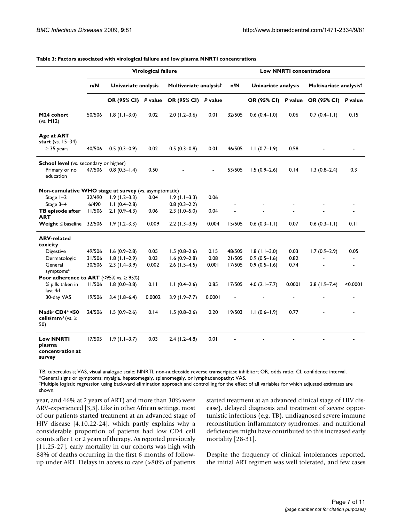|                                                           | Virological failure |                     |        |                                    |                | <b>Low NNRTI concentrations</b> |                     |                |                                    |                          |
|-----------------------------------------------------------|---------------------|---------------------|--------|------------------------------------|----------------|---------------------------------|---------------------|----------------|------------------------------------|--------------------------|
|                                                           | n/N                 | Univariate analysis |        | Multivariate analysis <sup>†</sup> |                | n/N                             | Univariate analysis |                | Multivariate analysis <sup>†</sup> |                          |
|                                                           |                     | OR (95% CI) P value |        | OR (95% CI)                        | P value        |                                 | OR (95% CI)         | P value        | OR (95% CI)                        | P value                  |
| M24 cohort<br>(vs. M12)                                   | 50/506              | $1.8(1.1-3.0)$      | 0.02   | $2.0(1.2-3.6)$                     | 0.01           | 32/505                          | $0.6(0.4-1.0)$      | 0.06           | $0.7(0.4-1.1)$                     | 0.15                     |
| Age at ART<br>start (vs. 15-34)                           |                     |                     |        |                                    |                |                                 |                     |                |                                    |                          |
| $\geq$ 35 years                                           | 40/506              | $0.5(0.3-0.9)$      | 0.02   | $0.5(0.3-0.8)$                     | 0.01           | 46/505                          | $1.1(0.7-1.9)$      | 0.58           |                                    |                          |
| School level (vs. secondary or higher)                    |                     |                     |        |                                    |                |                                 |                     |                |                                    |                          |
| Primary or no<br>education                                | 47/506              | $0.8(0.5 - 1.4)$    | 0.50   |                                    | $\blacksquare$ | 53/505                          | $1.5(0.9-2.6)$      | 0.14           | $1.3(0.8-2.4)$                     | 0.3                      |
| Non-cumulative WHO stage at survey (vs. asymptomatic)     |                     |                     |        |                                    |                |                                 |                     |                |                                    |                          |
| Stage $I-2$                                               | 32/490              | $1.9(1.2 - 3.3)$    | 0.04   | $1.9(1.1-3.3)$                     | 0.06           |                                 |                     |                |                                    |                          |
| Stage 3-4                                                 | 6/490               | $1.1(0.4-2.8)$      |        | $0.8(0.3-2.2)$                     |                |                                 |                     |                |                                    |                          |
| TB episode after<br><b>ART</b>                            | 11/506              | $2.1(0.9-4.3)$      | 0.06   | $2.3(1.0-5.0)$                     | 0.04           |                                 |                     |                |                                    |                          |
| Weight $\leq$ baseline                                    | 32/506              | $1.9(1.2 - 3.3)$    | 0.009  | $2.2(1.3-3.9)$                     | 0.004          | 15/505                          | $0.6(0.3 - 1.1)$    | 0.07           | $0.6(0.3 - 1.1)$                   | 0.11                     |
| <b>ARV-related</b><br>toxicity                            |                     |                     |        |                                    |                |                                 |                     |                |                                    |                          |
| <b>Digestive</b>                                          | 49/506              | $1.6(0.9-2.8)$      | 0.05   | $1.5(0.8-2.6)$                     | 0.15           | 48/505                          | $1.8(1.1-3.0)$      | 0.03           | $1.7(0.9-2.9)$                     | 0.05                     |
| Dermatologic                                              | 31/506              | $1.8(1.1-2.9)$      | 0.03   | $1.6(0.9-2.8)$                     | 0.08           | 21/505                          | $0.9(0.5 - 1.6)$    | 0.82           |                                    |                          |
| General<br>symptoms*                                      | 30/506              | $2.3(1.4-3.9)$      | 0.002  | $2.6$ (1.5-4.5)                    | 0.001          | 17/505                          | $0.9(0.5 - 1.6)$    | 0.74           |                                    |                          |
| <b>Poor adherence to ART</b> (<95% vs. $\geq$ 95%)        |                     |                     |        |                                    |                |                                 |                     |                |                                    |                          |
| % pills taken in<br>last 4d                               | 11/506              | $1.8(0.0-3.8)$      | 0.11   | $1.1(0.4-2.6)$                     | 0.85           | 17/505                          | $4.0(2.1 - 7.7)$    | 0.0001         | $3.8(1.9 - 7.4)$                   | < 0.0001                 |
| 30-day VAS                                                | 19/506              | $3.4(1.8-6.4)$      | 0.0002 | $3.9(1.9 - 7.7)$                   | 0.0001         | ÷,                              |                     | $\blacksquare$ |                                    | $\overline{\phantom{a}}$ |
| Nadir CD4+ <50<br>cells/mm <sup>3</sup> (vs. $\ge$<br>50) | 24/506              | $1.5(0.9-2.6)$      | 0.14   | $1.5(0.8-2.6)$                     | 0.20           | 19/503                          | $1.1(0.6-1.9)$      | 0.77           |                                    |                          |
| <b>Low NNRTI</b><br>plasma<br>concentration at<br>survey  | 17/505              | $1.9(1.1-3.7)$      | 0.03   | $2.4(1.2-4.8)$                     | 0.01           |                                 |                     |                |                                    |                          |

**Table 3: Factors associated with virological failure and low plasma NNRTI concentrations**

TB, tuberculosis; VAS, visual analogue scale; NNRTI, non-nucleoside reverse transcriptase inhibitor; OR, odds ratio; CI, confidence interval. \*General signs or symptoms: myalgia, hepatomegaly, splenomegaly, or lymphadenopathy; VAS.

†Multiple logistic regression using backward elimination approach and controlling for the effect of all variables for which adjusted estimates are shown.

year, and 46% at 2 years of ART) and more than 30% were ARV-experienced [3,5]. Like in other African settings, most of our patients started treatment at an advanced stage of HIV disease [4,10,22-24], which partly explains why a considerable proportion of patients had low CD4 cell counts after 1 or 2 years of therapy. As reported previously [11,25-27], early mortality in our cohorts was high with 88% of deaths occurring in the first 6 months of followup under ART. Delays in access to care (>80% of patients started treatment at an advanced clinical stage of HIV disease), delayed diagnosis and treatment of severe opportunistic infections (e.g. TB), undiagnosed severe immune reconstitution inflammatory syndromes, and nutritional deficiencies might have contributed to this increased early mortality [28-31].

Despite the frequency of clinical intolerances reported, the initial ART regimen was well tolerated, and few cases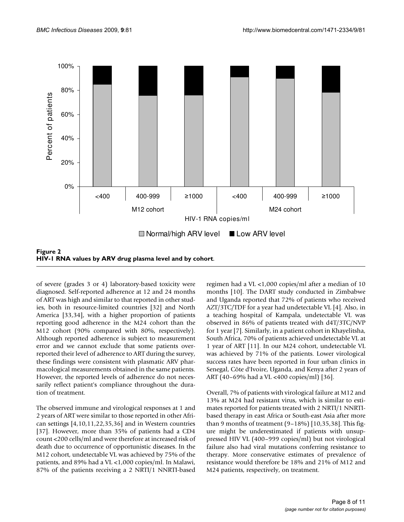

**HIV-1 RNA values by ARV drug plasma level and by cohort**.

of severe (grades 3 or 4) laboratory-based toxicity were diagnosed. Self-reported adherence at 12 and 24 months of ART was high and similar to that reported in other studies, both in resource-limited countries [32] and North America [33,34], with a higher proportion of patients reporting good adherence in the M24 cohort than the M12 cohort (90% compared with 80%, respectively). Although reported adherence is subject to measurement error and we cannot exclude that some patients overreported their level of adherence to ART during the survey, these findings were consistent with plasmatic ARV pharmacological measurements obtained in the same patients. However, the reported levels of adherence do not necessarily reflect patient's compliance throughout the duration of treatment.

The observed immune and virological responses at 1 and 2 years of ART were similar to those reported in other African settings [4,10,11,22,35,36] and in Western countries [37]. However, more than 35% of patients had a CD4 count <200 cells/ml and were therefore at increased risk of death due to occurrence of opportunistic diseases. In the M12 cohort, undetectable VL was achieved by 75% of the patients, and 89% had a VL <1,000 copies/ml. In Malawi, 87% of the patients receiving a 2 NRTI/1 NNRTI-based

regimen had a VL <1,000 copies/ml after a median of 10 months [10]. The DART study conducted in Zimbabwe and Uganda reported that 72% of patients who received AZT/3TC/TDF for a year had undetectable VL [4]. Also, in a teaching hospital of Kampala, undetectable VL was observed in 86% of patients treated with d4T/3TC/NVP for 1 year [7]. Similarly, in a patient cohort in Khayelitsha, South Africa, 70% of patients achieved undetectable VL at 1 year of ART [11]. In our M24 cohort, undetectable VL was achieved by 71% of the patients. Lower virological success rates have been reported in four urban clinics in Senegal, Côte d'Ivoire, Uganda, and Kenya after 2 years of ART (40–69% had a VL <400 copies/ml) [36].

Overall, 7% of patients with virological failure at M12 and 13% at M24 had resistant virus, which is similar to estimates reported for patients treated with 2 NRTI/1 NNRTIbased therapy in east Africa or South-east Asia after more than 9 months of treatment (9–18%) [10,35,38]. This figure might be underestimated if patients with unsuppressed HIV VL (400–999 copies/ml) but not virological failure also had viral mutations conferring resistance to therapy. More conservative estimates of prevalence of resistance would therefore be 18% and 21% of M12 and M24 patients, respectively, on treatment.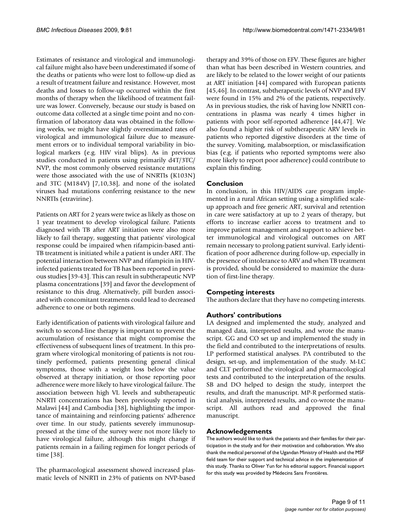Estimates of resistance and virological and immunological failure might also have been underestimated if some of the deaths or patients who were lost to follow-up died as a result of treatment failure and resistance. However, most deaths and losses to follow-up occurred within the first months of therapy when the likelihood of treatment failure was lower. Conversely, because our study is based on outcome data collected at a single time point and no confirmation of laboratory data was obtained in the following weeks, we might have slightly overestimated rates of virological and immunological failure due to measurement errors or to individual temporal variability in biological markers (e.g. HIV viral blips). As in previous studies conducted in patients using primarily d4T/3TC/ NVP, the most commonly observed resistance mutations were those associated with the use of NNRTIs (K103N) and 3TC (M184V) [7,10,38], and none of the isolated viruses had mutations conferring resistance to the new NNRTIs (etravirine).

Patients on ART for 2 years were twice as likely as those on 1 year treatment to develop virological failure. Patients diagnosed with TB after ART initiation were also more likely to fail therapy, suggesting that patients' virological response could be impaired when rifampicin-based anti-TB treatment is initiated while a patient is under ART. The potential interaction between NVP and rifampicin in HIVinfected patients treated for TB has been reported in previous studies [39-43]. This can result in subtherapeutic NVP plasma concentrations [39] and favor the development of resistance to this drug. Alternatively, pill burden associated with concomitant treatments could lead to decreased adherence to one or both regimens.

Early identification of patients with virological failure and switch to second-line therapy is important to prevent the accumulation of resistance that might compromise the effectiveness of subsequent lines of treatment. In this program where virological monitoring of patients is not routinely performed, patients presenting general clinical symptoms, those with a weight loss below the value observed at therapy initiation, or those reporting poor adherence were more likely to have virological failure. The association between high VL levels and subtherapeutic NNRTI concentrations has been previously reported in Malawi [44] and Cambodia [38], highlighting the importance of maintaining and reinforcing patients' adherence over time. In our study, patients severely immunosuppressed at the time of the survey were not more likely to have virological failure, although this might change if patients remain in a failing regimen for longer periods of time [38].

The pharmacological assessment showed increased plasmatic levels of NNRTI in 23% of patients on NVP-based

therapy and 39% of those on EFV. These figures are higher than what has been described in Western countries, and are likely to be related to the lower weight of our patients at ART initiation [44] compared with European patients [45,46]. In contrast, subtherapeutic levels of NVP and EFV were found in 15% and 2% of the patients, respectively. As in previous studies, the risk of having low NNRTI concentrations in plasma was nearly 4 times higher in patients with poor self-reported adherence [44,47]. We also found a higher risk of subtherapeutic ARV levels in patients who reported digestive disorders at the time of the survey. Vomiting, malabsorption, or misclassification bias (e.g. if patients who reported symptoms were also more likely to report poor adherence) could contribute to explain this finding.

## **Conclusion**

In conclusion, in this HIV/AIDS care program implemented in a rural African setting using a simplified scaleup approach and free generic ART, survival and retention in care were satisfactory at up to 2 years of therapy, but efforts to increase earlier access to treatment and to improve patient management and support to achieve better immunological and virological outcomes on ART remain necessary to prolong patient survival. Early identification of poor adherence during follow-up, especially in the presence of intolerance to ARV and when TB treatment is provided, should be considered to maximize the duration of first-line therapy.

## **Competing interests**

The authors declare that they have no competing interests.

## **Authors' contributions**

LA designed and implemented the study, analyzed and managed data, interpreted results, and wrote the manuscript. GG and CO set up and implemented the study in the field and contributed to the interpretations of results. LP performed statistical analyses. PA contributed to the design, set-up, and implementation of the study. M-LC and CLT performed the virological and pharmacological tests and contributed to the interpretation of the results. SB and DO helped to design the study, interpret the results, and draft the manuscript. MP-R performed statistical analysis, interpreted results, and co-wrote the manuscript. All authors read and approved the final manuscript.

#### **Acknowledgements**

The authors would like to thank the patients and their families for their participation in the study and for their motivation and collaboration. We also thank the medical personnel of the Ugandan Ministry of Health and the MSF field team for their support and technical advice in the implementation of this study. Thanks to Oliver Yun for his editorial support. Financial support for this study was provided by Médecins Sans Frontières.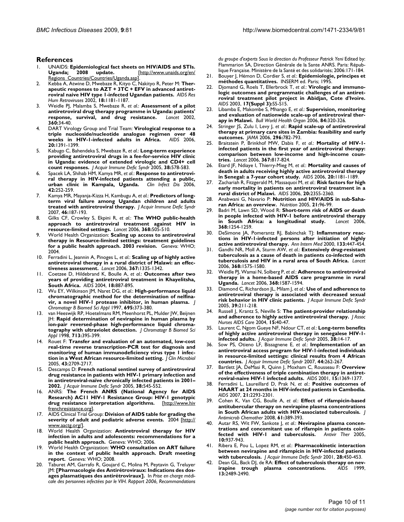#### **References**

- UNAIDS: **Epidemiological fact sheets on HIV/AIDS and STIs.**<br>Uganda; 2008 update. [http://www.unaids.org/en/ **Uganda; 2008 update.** [\[http://www.unaids.org/en/](http://www.unaids.org/en/Regions_Countries/Countries/Uganda.asp) [Regions\\_Countries/Countries/Uganda.asp](http://www.unaids.org/en/Regions_Countries/Countries/Uganda.asp)].
- 2. Kebba A, Atwine D, Mwebaze R, Kityo C, Nakityo R, Peter M: **[Ther](http://www.ncbi.nlm.nih.gov/entrez/query.fcgi?cmd=Retrieve&db=PubMed&dopt=Abstract&list_uids=12487824)[apeutic responses to AZT + 3TC + EFV in advanced antiret](http://www.ncbi.nlm.nih.gov/entrez/query.fcgi?cmd=Retrieve&db=PubMed&dopt=Abstract&list_uids=12487824)[roviral naive HIV type 1-infected Ugandan patients.](http://www.ncbi.nlm.nih.gov/entrez/query.fcgi?cmd=Retrieve&db=PubMed&dopt=Abstract&list_uids=12487824)** *AIDS Res Hum Retroviruses* 2002, **18:**1181-1187.
- 3. Weidle PJ, Malamba S, Mwebaze R, *et al.*: **[Assessment of a pilot](http://www.ncbi.nlm.nih.gov/entrez/query.fcgi?cmd=Retrieve&db=PubMed&dopt=Abstract&list_uids=12114039) [antiretroviral drug therapy programme in Uganda: patients'](http://www.ncbi.nlm.nih.gov/entrez/query.fcgi?cmd=Retrieve&db=PubMed&dopt=Abstract&list_uids=12114039) [response, survival, and drug resistance.](http://www.ncbi.nlm.nih.gov/entrez/query.fcgi?cmd=Retrieve&db=PubMed&dopt=Abstract&list_uids=12114039)** *Lancet* 2002, **360:**34-40.
- 4. DART Virology Group and Trial Team: **[Virological response to a](http://www.ncbi.nlm.nih.gov/entrez/query.fcgi?cmd=Retrieve&db=PubMed&dopt=Abstract&list_uids=16791013) [triple nucleoside/nucleotide analogue regimen over 48](http://www.ncbi.nlm.nih.gov/entrez/query.fcgi?cmd=Retrieve&db=PubMed&dopt=Abstract&list_uids=16791013)** [weeks in HIV-1-infected adults in Africa.](http://www.ncbi.nlm.nih.gov/entrez/query.fcgi?cmd=Retrieve&db=PubMed&dopt=Abstract&list_uids=16791013) **20:**1391-1399.
- 5. Kabugo C, Bahendeka S, Mwebaze R, *et al.*: **[Long-term experience](http://www.ncbi.nlm.nih.gov/entrez/query.fcgi?cmd=Retrieve&db=PubMed&dopt=Abstract&list_uids=15793369) [providing antiretroviral drugs in a fee-for-service HIV clinic](http://www.ncbi.nlm.nih.gov/entrez/query.fcgi?cmd=Retrieve&db=PubMed&dopt=Abstract&list_uids=15793369) in Uganda: evidence of extended virologic and CD4+ cell [count responses.](http://www.ncbi.nlm.nih.gov/entrez/query.fcgi?cmd=Retrieve&db=PubMed&dopt=Abstract&list_uids=15793369)** *J Acquir Immune Defic Syndr* 2005, **38:**578-583.
- 6. Spacek LA, Shihab HM, Kamya MR, *et al.*: **[Response to antiretrovi](http://www.ncbi.nlm.nih.gov/entrez/query.fcgi?cmd=Retrieve&db=PubMed&dopt=Abstract&list_uids=16355337)[ral therapy in HIV-infected patients attending a public,](http://www.ncbi.nlm.nih.gov/entrez/query.fcgi?cmd=Retrieve&db=PubMed&dopt=Abstract&list_uids=16355337) [urban clinic in Kampala, Uganda.](http://www.ncbi.nlm.nih.gov/entrez/query.fcgi?cmd=Retrieve&db=PubMed&dopt=Abstract&list_uids=16355337)** *Clin Infect Dis* 2006, **42:**252-259.
- 7. Kamya MR, Mayanja-Kizza H, Kambugu A, *et al.*: **[Predictors of long](http://www.ncbi.nlm.nih.gov/entrez/query.fcgi?cmd=Retrieve&db=PubMed&dopt=Abstract&list_uids=17693883)[term viral failure among Ugandan children and adults](http://www.ncbi.nlm.nih.gov/entrez/query.fcgi?cmd=Retrieve&db=PubMed&dopt=Abstract&list_uids=17693883) [treated with antiretroviral therapy.](http://www.ncbi.nlm.nih.gov/entrez/query.fcgi?cmd=Retrieve&db=PubMed&dopt=Abstract&list_uids=17693883)** *J Acquir Immune Defic Syndr* 2007, **46:**187-193.
- 8. Gilks CF, Crowley S, Ekpini R, *et al.*: **[The WHO public-health](http://www.ncbi.nlm.nih.gov/entrez/query.fcgi?cmd=Retrieve&db=PubMed&dopt=Abstract&list_uids=16890837) [approach to antiretroviral treatment against HIV in](http://www.ncbi.nlm.nih.gov/entrez/query.fcgi?cmd=Retrieve&db=PubMed&dopt=Abstract&list_uids=16890837) [resource-limited settings.](http://www.ncbi.nlm.nih.gov/entrez/query.fcgi?cmd=Retrieve&db=PubMed&dopt=Abstract&list_uids=16890837)** *Lancet* 2006, **368:**505-510.
- 9. World Health Organization: **Scaling up access to antiretroviral therapy in Resource-limited settings: treatment guidelines for a public health approach. 2003 revision.** Geneva: WHO; 2004.
- 10. Ferradini L, Jeannin A, Pinoges L, *et al.*: **[Scaling up of highly active](http://www.ncbi.nlm.nih.gov/entrez/query.fcgi?cmd=Retrieve&db=PubMed&dopt=Abstract&list_uids=16631912) [antiretroviral therapy in a rural district of Malawi: an effec](http://www.ncbi.nlm.nih.gov/entrez/query.fcgi?cmd=Retrieve&db=PubMed&dopt=Abstract&list_uids=16631912)[tiveness assessment.](http://www.ncbi.nlm.nih.gov/entrez/query.fcgi?cmd=Retrieve&db=PubMed&dopt=Abstract&list_uids=16631912)** *Lancet* 2006, **367:**1335-1342.
- 11. Coetzee D, Hildebrand K, Boulle A, *et al.*: **[Outcomes after two](http://www.ncbi.nlm.nih.gov/entrez/query.fcgi?cmd=Retrieve&db=PubMed&dopt=Abstract&list_uids=15060436) [years of providing antiretroviral treatment in Khayelitsha,](http://www.ncbi.nlm.nih.gov/entrez/query.fcgi?cmd=Retrieve&db=PubMed&dopt=Abstract&list_uids=15060436) [South Africa.](http://www.ncbi.nlm.nih.gov/entrez/query.fcgi?cmd=Retrieve&db=PubMed&dopt=Abstract&list_uids=15060436)** *AIDS* 2004, **18:**887-895.
- 12. Wu EY, Wilkinson JM, Naret DG, *et al.*: **[High-performance liquid](http://www.ncbi.nlm.nih.gov/entrez/query.fcgi?cmd=Retrieve&db=PubMed&dopt=Abstract&list_uids=9300874) [chromatographic method for the determination of nelfina](http://www.ncbi.nlm.nih.gov/entrez/query.fcgi?cmd=Retrieve&db=PubMed&dopt=Abstract&list_uids=9300874)[vir, a novel HIV-1 protease inhibitor, in human plasma.](http://www.ncbi.nlm.nih.gov/entrez/query.fcgi?cmd=Retrieve&db=PubMed&dopt=Abstract&list_uids=9300874)** *J Chromatogr B Biomed Sci Appl* 1997, **695:**373-380.
- 13. van Heeswijk RP, Hoetelmans RM, Meenhorst PL, Mulder JW, Beijnen JH: **[Rapid determination of nevirapine in human plasma by](http://www.ncbi.nlm.nih.gov/entrez/query.fcgi?cmd=Retrieve&db=PubMed&dopt=Abstract&list_uids=9746255) [ion-pair reversed-phase high-performance liquid chroma](http://www.ncbi.nlm.nih.gov/entrez/query.fcgi?cmd=Retrieve&db=PubMed&dopt=Abstract&list_uids=9746255)[tography with ultraviolet detection.](http://www.ncbi.nlm.nih.gov/entrez/query.fcgi?cmd=Retrieve&db=PubMed&dopt=Abstract&list_uids=9746255)** *J Chromatogr B Biomed Sci Appl* 1998, **713:**395-399.
- 14. Rouet F: **[Transfer and evaluation of an automated, low-cost](http://www.ncbi.nlm.nih.gov/entrez/query.fcgi?cmd=Retrieve&db=PubMed&dopt=Abstract&list_uids=15956387) [real-time reverse transcription-PCR test for diagnosis and](http://www.ncbi.nlm.nih.gov/entrez/query.fcgi?cmd=Retrieve&db=PubMed&dopt=Abstract&list_uids=15956387) monitoring of human immunodeficiency virus type 1 infec[tion in a West African resource-limited setting.](http://www.ncbi.nlm.nih.gov/entrez/query.fcgi?cmd=Retrieve&db=PubMed&dopt=Abstract&list_uids=15956387)** *J Clin Microbiol* 2005, **43:**2709-2717.
- 15. Descamps D: **[French national sentinel survey of antiretroviral](http://www.ncbi.nlm.nih.gov/entrez/query.fcgi?cmd=Retrieve&db=PubMed&dopt=Abstract&list_uids=15793364) [drug resistance in patients with HIV-1 primary infection and](http://www.ncbi.nlm.nih.gov/entrez/query.fcgi?cmd=Retrieve&db=PubMed&dopt=Abstract&list_uids=15793364) in antiretroviral-naïve chronically infected patients in 2001– [2002.](http://www.ncbi.nlm.nih.gov/entrez/query.fcgi?cmd=Retrieve&db=PubMed&dopt=Abstract&list_uids=15793364)** *J Acquir Immune Defic Syndr* 2005, **38:**545-552.
- 16. ANRS: **The French ANRS (National Agency for AIDS Research) AC11 HIV-1 Resistance Group: HIV-1 genotypic** drug resistance interpretation algorithms. [frenchresistance.org\]](http://www.hivfrenchresistance.org).
- 17. AIDS Clinical Trial Group: **Division of AIDS table for grading the severity of adult and pediatric adverse events.** 2004 [[http://](http://www.aactg.org/) [www.aactg.org/\]](http://www.aactg.org/).
- 18. World Health Organization: **Antiretroviral therapy for HIV infection in adults and adolescents: recommendations for a public health approach.** Geneva: WHO; 2006.
- 19. World Health Organization: **WHO consultation on ART failure in the context of public health approach. Draft meeting report.** Geneva: WHO; 2008.
- 20. Taburet AM, Garrafo R, Goujard C, Molina M, Peytavin G, Treluyer JM: **[Pharmacologie des Antirétroviraux: Indications des dosages plasmatiques des antirétroviraux].** In *Prise en charge médicale des personnes infectées par le VIH. Rapport 2006, Recommandations*

*du groupe d'experts Sous la direction du Professeur Patrick Yeni* Edited by: Flammarion SA, Direction Générale de la Sante ANRS. Paris: République Française. Ministère de la Santé et des solidarités; 2006:171-184.

- 21. Bouyer J, Hémon D, Cordier S, *et al.*: **Epidemiologie, principes et méthodes quantitatives.** INSERM ed. Paris; 1995.
- 22. Djomand G, Roels T, Ellerbrock T, *et al.*: **[Virologic and immuno](http://www.ncbi.nlm.nih.gov/entrez/query.fcgi?cmd=Retrieve&db=PubMed&dopt=Abstract&list_uids=14565604)logic outcomes and programmatic challenges of an antiret[roviral treatment pilot project in Abidjan, Cote d'Ivoire.](http://www.ncbi.nlm.nih.gov/entrez/query.fcgi?cmd=Retrieve&db=PubMed&dopt=Abstract&list_uids=14565604)** *AIDS* 2003, **17(Suppl 3):**S5-S15.
- 23. Libamba E, Makombe S, Mhango E, *et al.*: **[Supervision, monitoring](http://www.ncbi.nlm.nih.gov/entrez/query.fcgi?cmd=Retrieve&db=PubMed&dopt=Abstract&list_uids=16628306) [and evaluation of nationwide scale-up of antiretroviral ther](http://www.ncbi.nlm.nih.gov/entrez/query.fcgi?cmd=Retrieve&db=PubMed&dopt=Abstract&list_uids=16628306)[apy in Malawi.](http://www.ncbi.nlm.nih.gov/entrez/query.fcgi?cmd=Retrieve&db=PubMed&dopt=Abstract&list_uids=16628306)** *Bull World Health Organ* 2006, **84:**320-326.
- 24. Stringer JS, Zulu I, Levy J, *et al.*: **[Rapid scale-up of antiretroviral](http://www.ncbi.nlm.nih.gov/entrez/query.fcgi?cmd=Retrieve&db=PubMed&dopt=Abstract&list_uids=16905784) [therapy at primary care sites in Zambia: feasibility and early](http://www.ncbi.nlm.nih.gov/entrez/query.fcgi?cmd=Retrieve&db=PubMed&dopt=Abstract&list_uids=16905784) [outcomes.](http://www.ncbi.nlm.nih.gov/entrez/query.fcgi?cmd=Retrieve&db=PubMed&dopt=Abstract&list_uids=16905784)** *JAMA* 2006, **296:**782-793.
- 25. Braitstein P, Brinkhof MW, Dabis F, *et al.*: **[Mortality of HIV-1](http://www.ncbi.nlm.nih.gov/entrez/query.fcgi?cmd=Retrieve&db=PubMed&dopt=Abstract&list_uids=16530575) [infected patients in the first year of antiretroviral therapy:](http://www.ncbi.nlm.nih.gov/entrez/query.fcgi?cmd=Retrieve&db=PubMed&dopt=Abstract&list_uids=16530575) comparison between low-income and high-income coun[tries.](http://www.ncbi.nlm.nih.gov/entrez/query.fcgi?cmd=Retrieve&db=PubMed&dopt=Abstract&list_uids=16530575)** *Lancet* 2006, **367:**817-824.
- 26. Etard JF, Ndiaye I, Thierry-Mieg M, *et al.*: **[Mortality and causes of](http://www.ncbi.nlm.nih.gov/entrez/query.fcgi?cmd=Retrieve&db=PubMed&dopt=Abstract&list_uids=16691070) [death in adults receiving highly active antiretroviral therapy](http://www.ncbi.nlm.nih.gov/entrez/query.fcgi?cmd=Retrieve&db=PubMed&dopt=Abstract&list_uids=16691070) [in Senegal: a 7-year cohort study.](http://www.ncbi.nlm.nih.gov/entrez/query.fcgi?cmd=Retrieve&db=PubMed&dopt=Abstract&list_uids=16691070)** *AIDS* 2006, **20:**1181-1189.
- 27. Zachariah R, Fitzgerald M, Massaquoi M, *et al.*: **[Risk factors for high](http://www.ncbi.nlm.nih.gov/entrez/query.fcgi?cmd=Retrieve&db=PubMed&dopt=Abstract&list_uids=17117022) [early mortality in patients on antiretroviral treatment in a](http://www.ncbi.nlm.nih.gov/entrez/query.fcgi?cmd=Retrieve&db=PubMed&dopt=Abstract&list_uids=17117022) [rural district of Malawi.](http://www.ncbi.nlm.nih.gov/entrez/query.fcgi?cmd=Retrieve&db=PubMed&dopt=Abstract&list_uids=17117022)** *AIDS* 2006, **20:**2355-2360.
- Anabwani G, Navario P: **[Nutrition and HIV/AIDS in sub-Saha](http://www.ncbi.nlm.nih.gov/entrez/query.fcgi?cmd=Retrieve&db=PubMed&dopt=Abstract&list_uids=15661483)[ran Africa: an overview.](http://www.ncbi.nlm.nih.gov/entrez/query.fcgi?cmd=Retrieve&db=PubMed&dopt=Abstract&list_uids=15661483)** *Nutrition* 2005, **21:**96-99.
- 29. Badri M, Lawn SD, Wood R: **[Short-term risk of AIDS or death](http://www.ncbi.nlm.nih.gov/entrez/query.fcgi?cmd=Retrieve&db=PubMed&dopt=Abstract&list_uids=17027731) [in people infected with HIV-1 before antiretroviral therapy](http://www.ncbi.nlm.nih.gov/entrez/query.fcgi?cmd=Retrieve&db=PubMed&dopt=Abstract&list_uids=17027731) [in South Africa: a longitudinal study.](http://www.ncbi.nlm.nih.gov/entrez/query.fcgi?cmd=Retrieve&db=PubMed&dopt=Abstract&list_uids=17027731)** *Lancet* 2006, **368:**1254-1259.
- 30. DeSimone JA, Pomerantz RJ, Babinchak TJ: **[Inflammatory reac](http://www.ncbi.nlm.nih.gov/entrez/query.fcgi?cmd=Retrieve&db=PubMed&dopt=Abstract&list_uids=10975963)[tions in HIV-1-infected persons after initiation of highly](http://www.ncbi.nlm.nih.gov/entrez/query.fcgi?cmd=Retrieve&db=PubMed&dopt=Abstract&list_uids=10975963) [active antiretroviral therapy.](http://www.ncbi.nlm.nih.gov/entrez/query.fcgi?cmd=Retrieve&db=PubMed&dopt=Abstract&list_uids=10975963)** *Ann Intern Med* 2000, **133:**447-454.
- 31. Gandhi NR, Moll A, Sturm AW, *et al.*: **[Extensively drug-resistant](http://www.ncbi.nlm.nih.gov/entrez/query.fcgi?cmd=Retrieve&db=PubMed&dopt=Abstract&list_uids=17084757) [tuberculosis as a cause of death in patients co-infected with](http://www.ncbi.nlm.nih.gov/entrez/query.fcgi?cmd=Retrieve&db=PubMed&dopt=Abstract&list_uids=17084757) [tuberculosis and HIV in a rural area of South Africa.](http://www.ncbi.nlm.nih.gov/entrez/query.fcgi?cmd=Retrieve&db=PubMed&dopt=Abstract&list_uids=17084757)** *Lancet* 2006, **368:**1575-1580.
- 32. Weidle PJ, Wamai N, Solberg P, *et al.*: **[Adherence to antiretroviral](http://www.ncbi.nlm.nih.gov/entrez/query.fcgi?cmd=Retrieve&db=PubMed&dopt=Abstract&list_uids=17084759) [therapy in a home-based AIDS care programme in rural](http://www.ncbi.nlm.nih.gov/entrez/query.fcgi?cmd=Retrieve&db=PubMed&dopt=Abstract&list_uids=17084759) [Uganda.](http://www.ncbi.nlm.nih.gov/entrez/query.fcgi?cmd=Retrieve&db=PubMed&dopt=Abstract&list_uids=17084759)** *Lancet* 2006, **368:**1587-1594.
- 33. Diamond C, Richardson JL, Milam J, *et al.*: **[Use of and adherence to](http://www.ncbi.nlm.nih.gov/entrez/query.fcgi?cmd=Retrieve&db=PubMed&dopt=Abstract&list_uids=15905739) [antiretroviral therapy is associated with decreased sexual](http://www.ncbi.nlm.nih.gov/entrez/query.fcgi?cmd=Retrieve&db=PubMed&dopt=Abstract&list_uids=15905739) [risk behavior in HIV clinic patients.](http://www.ncbi.nlm.nih.gov/entrez/query.fcgi?cmd=Retrieve&db=PubMed&dopt=Abstract&list_uids=15905739)** *J Acquir Immune Defic Syndr* 2005, **39:**211-218.
- 34. Russell J, Krantz S, Neville S: **[The patient-provider relationship](http://www.ncbi.nlm.nih.gov/entrez/query.fcgi?cmd=Retrieve&db=PubMed&dopt=Abstract&list_uids=15358924) [and adherence to highly active antiretroviral therapy.](http://www.ncbi.nlm.nih.gov/entrez/query.fcgi?cmd=Retrieve&db=PubMed&dopt=Abstract&list_uids=15358924)** *J Assoc Nurses AIDS Care* 2004, **15:**40-47.
- 35. Laurent C, Ngom Gueye NF, Ndour CT, *et al.*: **[Long-term benefits](http://www.ncbi.nlm.nih.gov/entrez/query.fcgi?cmd=Retrieve&db=PubMed&dopt=Abstract&list_uids=15608518) [of highly active antiretroviral therapy in senegalese HIV-1](http://www.ncbi.nlm.nih.gov/entrez/query.fcgi?cmd=Retrieve&db=PubMed&dopt=Abstract&list_uids=15608518) [infected adults.](http://www.ncbi.nlm.nih.gov/entrez/query.fcgi?cmd=Retrieve&db=PubMed&dopt=Abstract&list_uids=15608518)** *J Acquir Immune Defic Syndr* 2005, **38:**14-17.
- 36. Sow PS, Otieno LF, Bissagnene E, *et al.*: **[Implementation of an](http://www.ncbi.nlm.nih.gov/entrez/query.fcgi?cmd=Retrieve&db=PubMed&dopt=Abstract&list_uids=17146376) [antiretroviral access program for HIV-1-infected individuals](http://www.ncbi.nlm.nih.gov/entrez/query.fcgi?cmd=Retrieve&db=PubMed&dopt=Abstract&list_uids=17146376) in resource-limited settings: clinical results from 4 African [countries.](http://www.ncbi.nlm.nih.gov/entrez/query.fcgi?cmd=Retrieve&db=PubMed&dopt=Abstract&list_uids=17146376)** *J Acquir Immune Defic Syndr* 2007, **44:**262-267.
- 37. Bartlett JA, DeMasi R, Quinn J, Moxham C, Rousseau F: **[Overview](http://www.ncbi.nlm.nih.gov/entrez/query.fcgi?cmd=Retrieve&db=PubMed&dopt=Abstract&list_uids=11504958) [of the effectiveness of triple combination therapy in antiret](http://www.ncbi.nlm.nih.gov/entrez/query.fcgi?cmd=Retrieve&db=PubMed&dopt=Abstract&list_uids=11504958)[roviral-naive HIV-1 infected adults.](http://www.ncbi.nlm.nih.gov/entrez/query.fcgi?cmd=Retrieve&db=PubMed&dopt=Abstract&list_uids=11504958)** *AIDS* 2001, **15:**1369-1377.
- 38. Ferradini L, Laureillard D, Prak N, *et al.*: **[Positive outcomes of](http://www.ncbi.nlm.nih.gov/entrez/query.fcgi?cmd=Retrieve&db=PubMed&dopt=Abstract&list_uids=18090277) [HAART at 24 months in HIV-infected patients in Cambodia.](http://www.ncbi.nlm.nih.gov/entrez/query.fcgi?cmd=Retrieve&db=PubMed&dopt=Abstract&list_uids=18090277)** *AIDS* 2007, **21:**2293-2301.
- 39. Cohen K, Van CG, Boulle A, *et al.*: **[Effect of rifampicin-based](http://www.ncbi.nlm.nih.gov/entrez/query.fcgi?cmd=Retrieve&db=PubMed&dopt=Abstract&list_uids=18096560) [antitubercular therapy on nevirapine plasma concentrations](http://www.ncbi.nlm.nih.gov/entrez/query.fcgi?cmd=Retrieve&db=PubMed&dopt=Abstract&list_uids=18096560) [in South African adults with HIV-associated tuberculosis.](http://www.ncbi.nlm.nih.gov/entrez/query.fcgi?cmd=Retrieve&db=PubMed&dopt=Abstract&list_uids=18096560)** *J Antimicrob Chemother* 2008, **61:**389-393.
- 40. Autar RS, Wit FW, Sankote J, *et al.*: **[Nevirapine plasma concen](http://www.ncbi.nlm.nih.gov/entrez/query.fcgi?cmd=Retrieve&db=PubMed&dopt=Abstract&list_uids=16430199)[trations and concomitant use of rifampin in patients coin](http://www.ncbi.nlm.nih.gov/entrez/query.fcgi?cmd=Retrieve&db=PubMed&dopt=Abstract&list_uids=16430199)[fected with HIV-1 and tuberculosis.](http://www.ncbi.nlm.nih.gov/entrez/query.fcgi?cmd=Retrieve&db=PubMed&dopt=Abstract&list_uids=16430199)** *Antivir Ther* 2005, **10:**937-943.
- 41. Ribera E, Pou L, Lopez RM, *et al.*: **[Pharmacokinetic interaction](http://www.ncbi.nlm.nih.gov/entrez/query.fcgi?cmd=Retrieve&db=PubMed&dopt=Abstract&list_uids=11744833) [between nevirapine and rifampicin in HIV-infected patients](http://www.ncbi.nlm.nih.gov/entrez/query.fcgi?cmd=Retrieve&db=PubMed&dopt=Abstract&list_uids=11744833) [with tuberculosis.](http://www.ncbi.nlm.nih.gov/entrez/query.fcgi?cmd=Retrieve&db=PubMed&dopt=Abstract&list_uids=11744833)** *J Acquir Immune Defic Syndr* 2001, **28:**450-453.
- 42. Dean GL, Back DJ, de RA: **[Effect of tuberculosis therapy on nev](http://www.ncbi.nlm.nih.gov/entrez/query.fcgi?cmd=Retrieve&db=PubMed&dopt=Abstract&list_uids=10597799)***irapine trough plasma* concentrations. **13:**2489-2490.